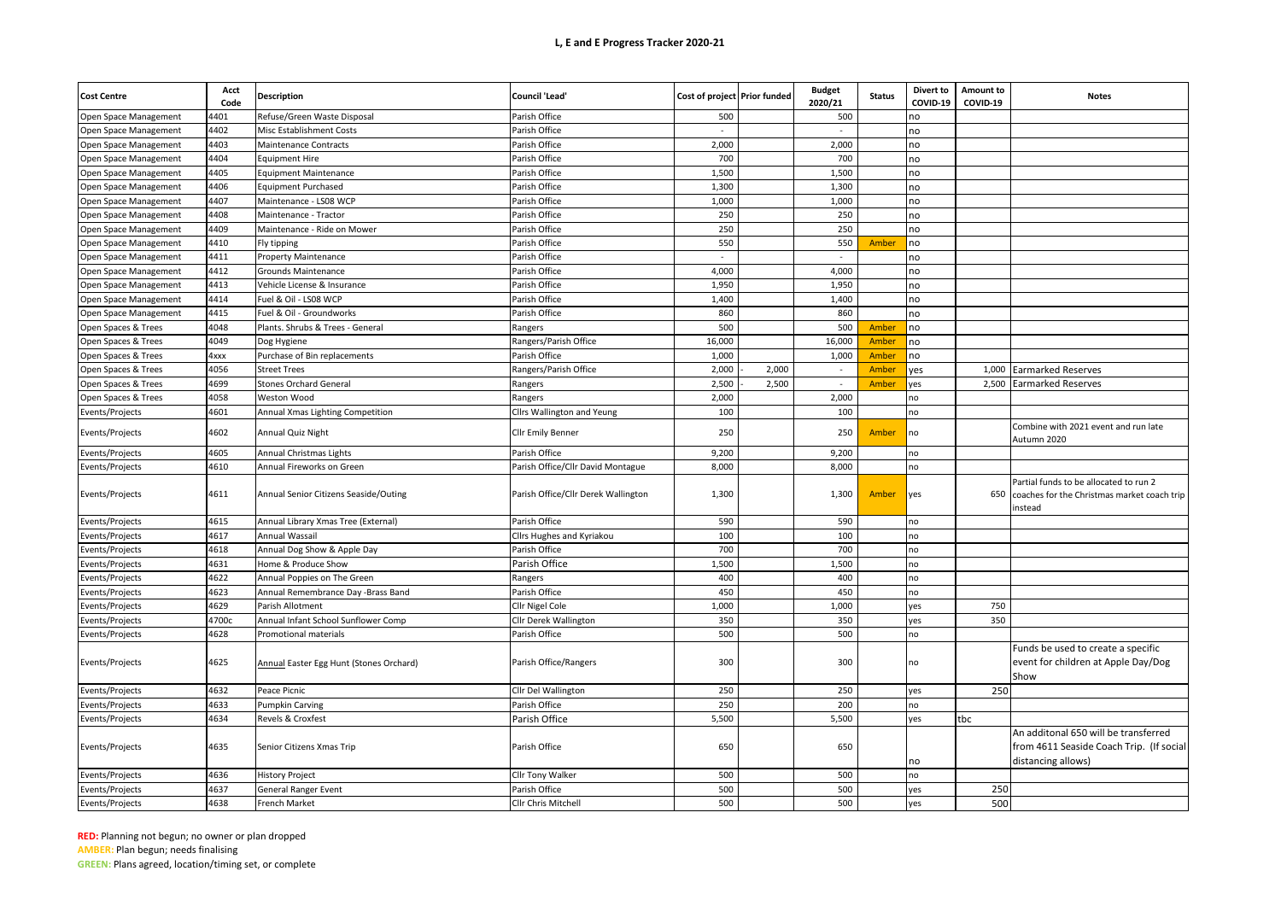| <b>Cost Centre</b>    | Acct<br>Code | Description                             | <b>Council 'Lead'</b>               | Cost of project Prior funded |       | <b>Budget</b><br>2020/21 | <b>Status</b> | Divert to<br>COVID-19 | Amount to<br>COVID-19 | <b>Notes</b>                                                                                           |
|-----------------------|--------------|-----------------------------------------|-------------------------------------|------------------------------|-------|--------------------------|---------------|-----------------------|-----------------------|--------------------------------------------------------------------------------------------------------|
| Open Space Management | 4401         | Refuse/Green Waste Disposal             | Parish Office                       | 500                          |       | 500                      |               | no                    |                       |                                                                                                        |
| Open Space Management | 1402         | Misc Establishment Costs                | Parish Office                       | $\sim$                       |       |                          |               | no                    |                       |                                                                                                        |
| Open Space Management | 4403         | <b>Maintenance Contracts</b>            | Parish Office                       | 2,000                        |       | 2,000                    |               | no                    |                       |                                                                                                        |
| Open Space Management | 4404         | <b>Equipment Hire</b>                   | Parish Office                       | 700                          |       | 700                      |               | no                    |                       |                                                                                                        |
| Open Space Management | 4405         | <b>Equipment Maintenance</b>            | Parish Office                       | 1,500                        |       | 1,500                    |               | no                    |                       |                                                                                                        |
| Open Space Management | 4406         | <b>Equipment Purchased</b>              | Parish Office                       | 1,300                        |       | 1,300                    |               | no                    |                       |                                                                                                        |
| Open Space Management | 4407         | Maintenance - LS08 WCP                  | Parish Office                       | 1,000                        |       | 1,000                    |               | no                    |                       |                                                                                                        |
| Open Space Management | 4408         | Maintenance - Tractor                   | Parish Office                       | 250                          |       | 250                      |               | no                    |                       |                                                                                                        |
| Open Space Management | 4409         | Maintenance - Ride on Mower             | Parish Office                       | 250                          |       | 250                      |               | no                    |                       |                                                                                                        |
| Open Space Management | 4410         | Fly tipping                             | Parish Office                       | 550                          |       | 550                      | Amber         | no                    |                       |                                                                                                        |
| Open Space Management | 4411         | <b>Property Maintenance</b>             | Parish Office                       |                              |       |                          |               | no                    |                       |                                                                                                        |
| Open Space Management | 4412         | Grounds Maintenance                     | Parish Office                       | 4,000                        |       | 4,000                    |               | no                    |                       |                                                                                                        |
| Open Space Management | 4413         | Vehicle License & Insurance             | Parish Office                       | 1,950                        |       | 1,950                    |               | no                    |                       |                                                                                                        |
| Open Space Management | 4414         | Fuel & Oil - LS08 WCP                   | Parish Office                       | 1,400                        |       | 1,400                    |               | no                    |                       |                                                                                                        |
| Open Space Management | 4415         | Fuel & Oil - Groundworks                | Parish Office                       | 860                          |       | 860                      |               | no                    |                       |                                                                                                        |
| Open Spaces & Trees   | 4048         | Plants. Shrubs & Trees - General        | Rangers                             | 500                          |       | 500                      | Amber         | no                    |                       |                                                                                                        |
| Open Spaces & Trees   | 4049         | Dog Hygiene                             | Rangers/Parish Office               | 16,000                       |       | 16,000                   | Amber         | no                    |                       |                                                                                                        |
| Open Spaces & Trees   | 4xxx         | Purchase of Bin replacements            | Parish Office                       | 1,000                        |       | 1,000                    | Amber         | no                    |                       |                                                                                                        |
| Open Spaces & Trees   | 4056         | <b>Street Trees</b>                     | Rangers/Parish Office               | 2,000                        | 2,000 | $\sim$                   | Amber         | yes                   | 1,000                 | <b>Earmarked Reserves</b>                                                                              |
| Open Spaces & Trees   | 4699         | <b>Stones Orchard General</b>           | Rangers                             | 2,500                        | 2,500 |                          | Amber         | yes                   | 2,500                 | <b>Earmarked Reserves</b>                                                                              |
| Open Spaces & Trees   | 4058         | Weston Wood                             | Rangers                             | 2,000                        |       | 2,000                    |               | no                    |                       |                                                                                                        |
| Events/Projects       | 4601         | Annual Xmas Lighting Competition        | Cllrs Wallington and Yeung          | 100                          |       | 100                      |               | no                    |                       |                                                                                                        |
| Events/Projects       | 4602         | Annual Quiz Night                       | Cllr Emily Benner                   | 250                          |       | 250                      | <b>Amber</b>  | no                    |                       | Combine with 2021 event and run late<br>Autumn 2020                                                    |
| Events/Projects       | 4605         | Annual Christmas Lights                 | Parish Office                       | 9,200                        |       | 9,200                    |               | no                    |                       |                                                                                                        |
| Events/Projects       | 4610         | Annual Fireworks on Green               | Parish Office/Cllr David Montague   | 8,000                        |       | 8,000                    |               | no                    |                       |                                                                                                        |
| Events/Projects       | 4611         | Annual Senior Citizens Seaside/Outing   | Parish Office/Cllr Derek Wallington | 1,300                        |       | 1,300                    | Amber         | yes                   | 650                   | Partial funds to be allocated to run 2<br>coaches for the Christmas market coach trip<br>instead       |
| Events/Projects       | 4615         | Annual Library Xmas Tree (External)     | Parish Office                       | 590                          |       | 590                      |               | no                    |                       |                                                                                                        |
| Events/Projects       | 4617         | Annual Wassail                          | Cllrs Hughes and Kyriakou           | 100                          |       | 100                      |               | no                    |                       |                                                                                                        |
| Events/Projects       | 4618         | Annual Dog Show & Apple Day             | Parish Office                       | 700                          |       | 700                      |               | no                    |                       |                                                                                                        |
| Events/Projects       | 4631         | Home & Produce Show                     | Parish Office                       | 1,500                        |       | 1,500                    |               | no                    |                       |                                                                                                        |
| Events/Projects       | 4622         | Annual Poppies on The Green             | <b>Rangers</b>                      | 400                          |       | 400                      |               | no                    |                       |                                                                                                        |
| Events/Projects       | 4623         | Annual Remembrance Day -Brass Band      | Parish Office                       | 450                          |       | 450                      |               | no                    |                       |                                                                                                        |
| Events/Projects       | 4629         | Parish Allotment                        | Cllr Nigel Cole                     | 1,000                        |       | 1,000                    |               | yes                   | 750                   |                                                                                                        |
| Events/Projects       | 4700c        | Annual Infant School Sunflower Comp     | Cllr Derek Wallington               | 350                          |       | 350                      |               | yes                   | 350                   |                                                                                                        |
| Events/Projects       | 4628         | Promotional materials                   | Parish Office                       | 500                          |       | 500                      |               | no                    |                       |                                                                                                        |
| Events/Projects       | 4625         | Annual Easter Egg Hunt (Stones Orchard) | Parish Office/Rangers               | 300                          |       | 300                      |               | no                    |                       | Funds be used to create a specific<br>event for children at Apple Day/Dog<br>Show                      |
| Events/Projects       | 4632         | Peace Picnic                            | Cllr Del Wallington                 | 250                          |       | 250                      |               | ves                   | 250                   |                                                                                                        |
| Events/Projects       | 4633         | <b>Pumpkin Carving</b>                  | Parish Office                       | 250                          |       | 200                      |               | no                    |                       |                                                                                                        |
| Events/Projects       | 4634         | Revels & Croxfest                       | Parish Office                       | 5,500                        |       | 5,500                    |               | yes                   | tbc                   |                                                                                                        |
| Events/Projects       | 4635         | Senior Citizens Xmas Trip               | Parish Office                       | 650                          |       | 650                      |               | no                    |                       | An additonal 650 will be transferred<br>from 4611 Seaside Coach Trip. (If social<br>distancing allows) |
| Events/Projects       | 4636         | <b>History Project</b>                  | Cllr Tony Walker                    | 500                          |       | 500                      |               | no                    |                       |                                                                                                        |
| Events/Projects       | 4637         | General Ranger Event                    | Parish Office                       | 500                          |       | 500                      |               | yes                   | 250                   |                                                                                                        |
| Events/Projects       | 4638         | <b>French Market</b>                    | Cllr Chris Mitchell                 | 500                          |       | 500                      |               | ves                   | 500                   |                                                                                                        |